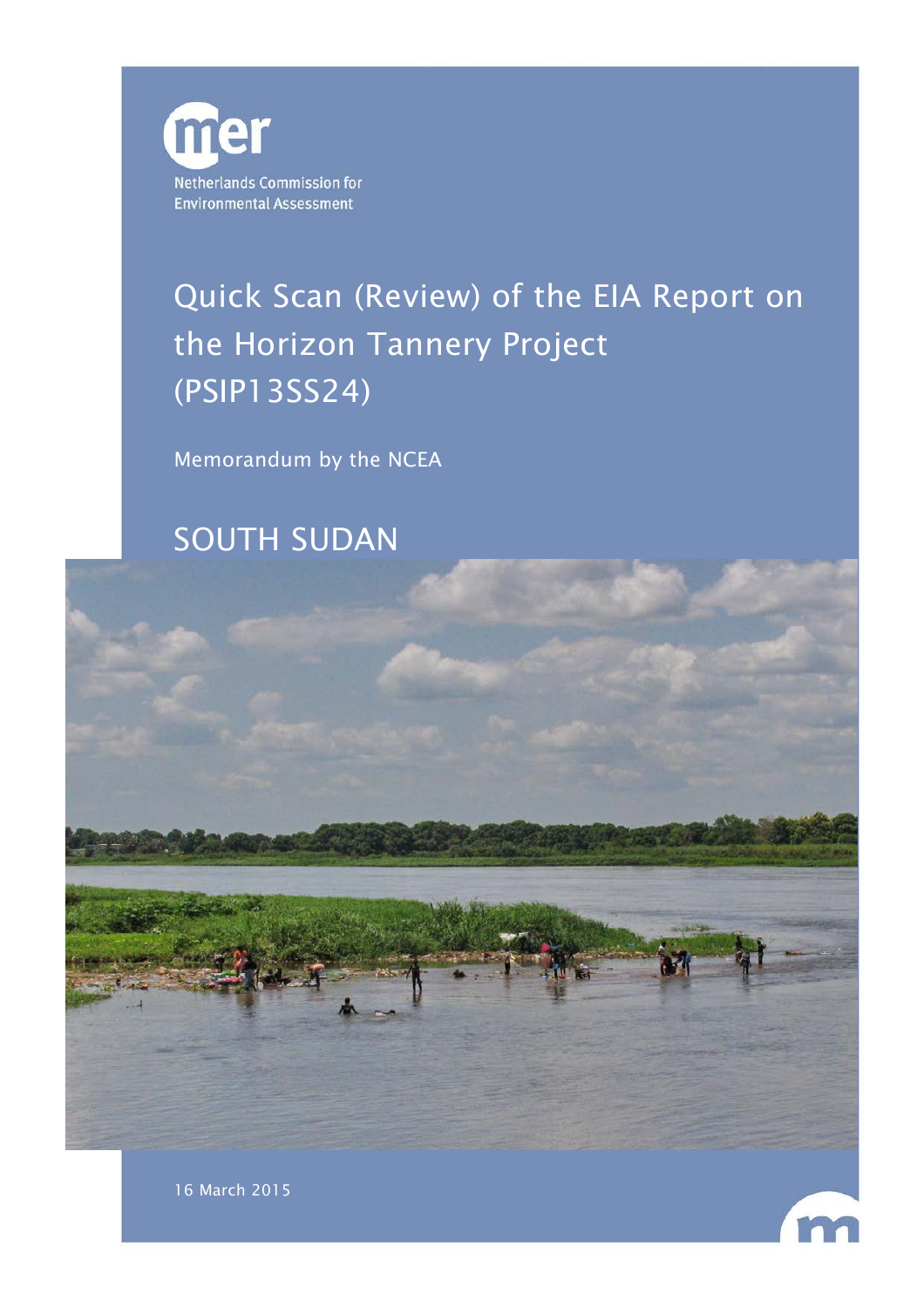

# Quick Scan (Review) of the EIA Report on the Horizon Tannery Project (PSIP13SS24)

Memorandum by the NCEA

SOUTH SUDAN



16 March 2015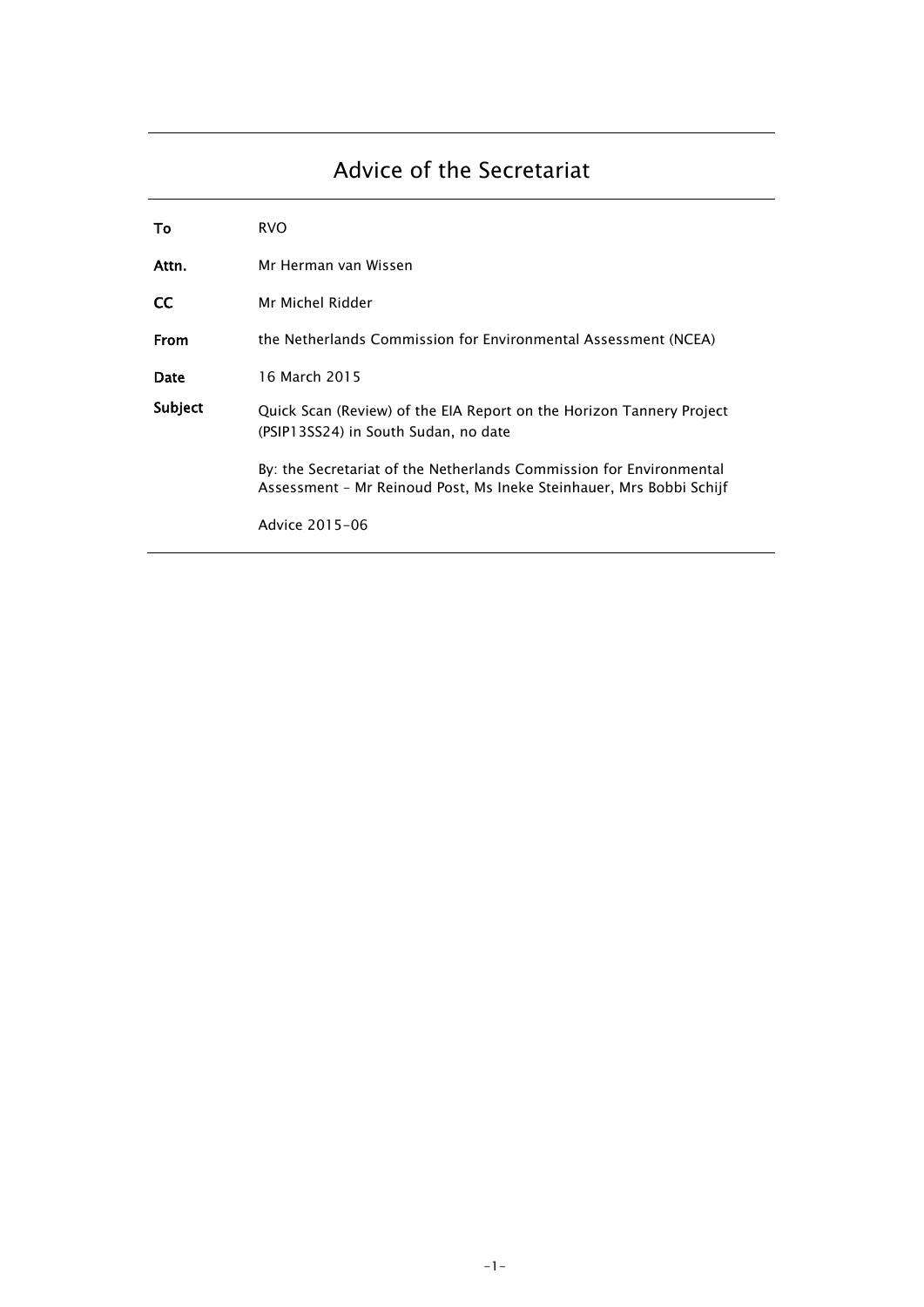# Advice of the Secretariat

| To        | <b>RVO</b>                                                                                                                                 |
|-----------|--------------------------------------------------------------------------------------------------------------------------------------------|
| Attn.     | Mr Herman van Wissen                                                                                                                       |
| <b>CC</b> | Mr Michel Ridder                                                                                                                           |
| From      | the Netherlands Commission for Environmental Assessment (NCEA)                                                                             |
| Date      | 16 March 2015                                                                                                                              |
| Subject   | Quick Scan (Review) of the EIA Report on the Horizon Tannery Project<br>(PSIP13SS24) in South Sudan, no date                               |
|           | By: the Secretariat of the Netherlands Commission for Environmental<br>Assessment - Mr Reinoud Post, Ms Ineke Steinhauer, Mrs Bobbi Schijf |
|           | Advice 2015-06                                                                                                                             |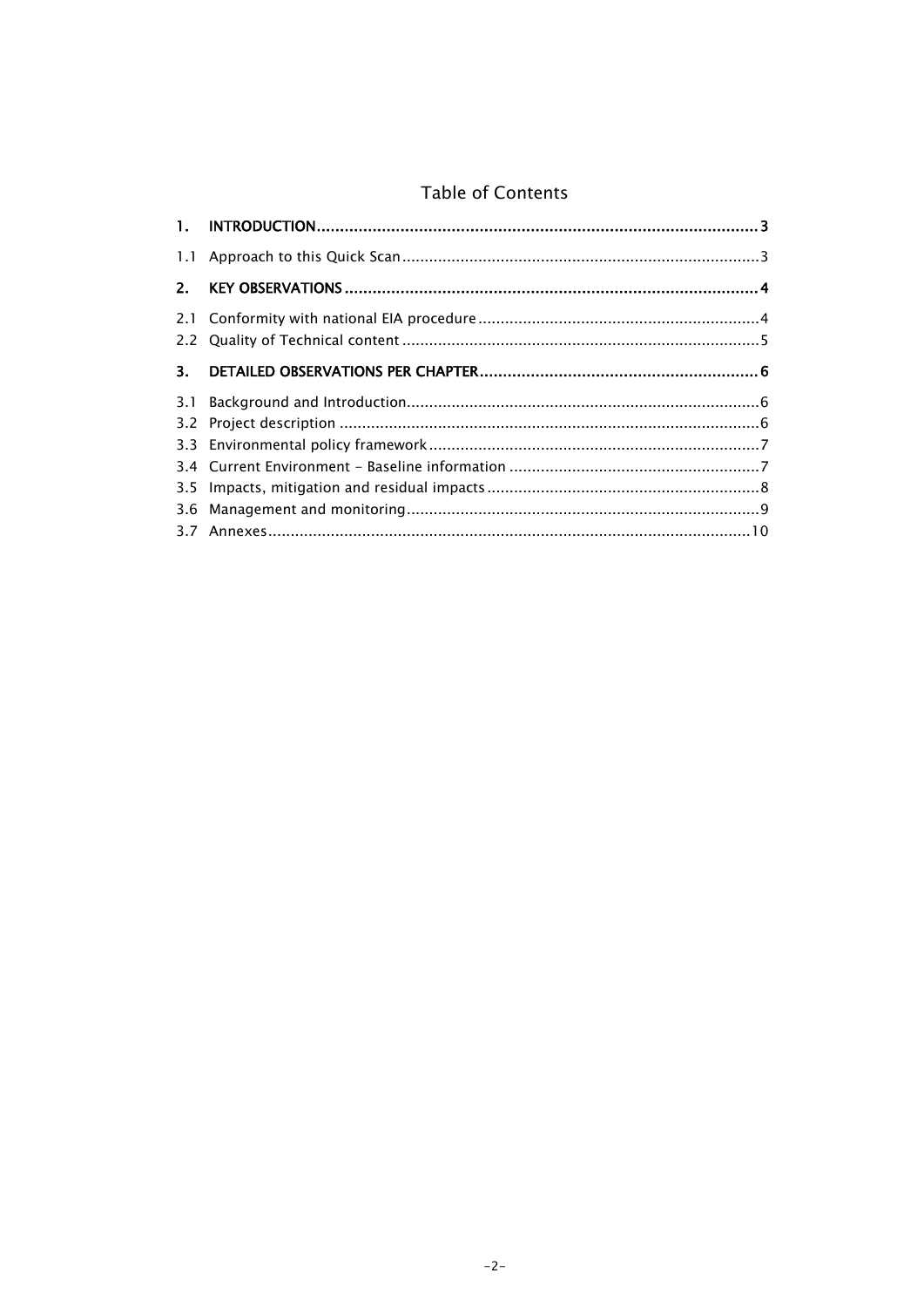### Table of Contents

| 2. |  |
|----|--|
|    |  |
| 3. |  |
|    |  |
|    |  |
|    |  |
|    |  |
|    |  |
|    |  |
|    |  |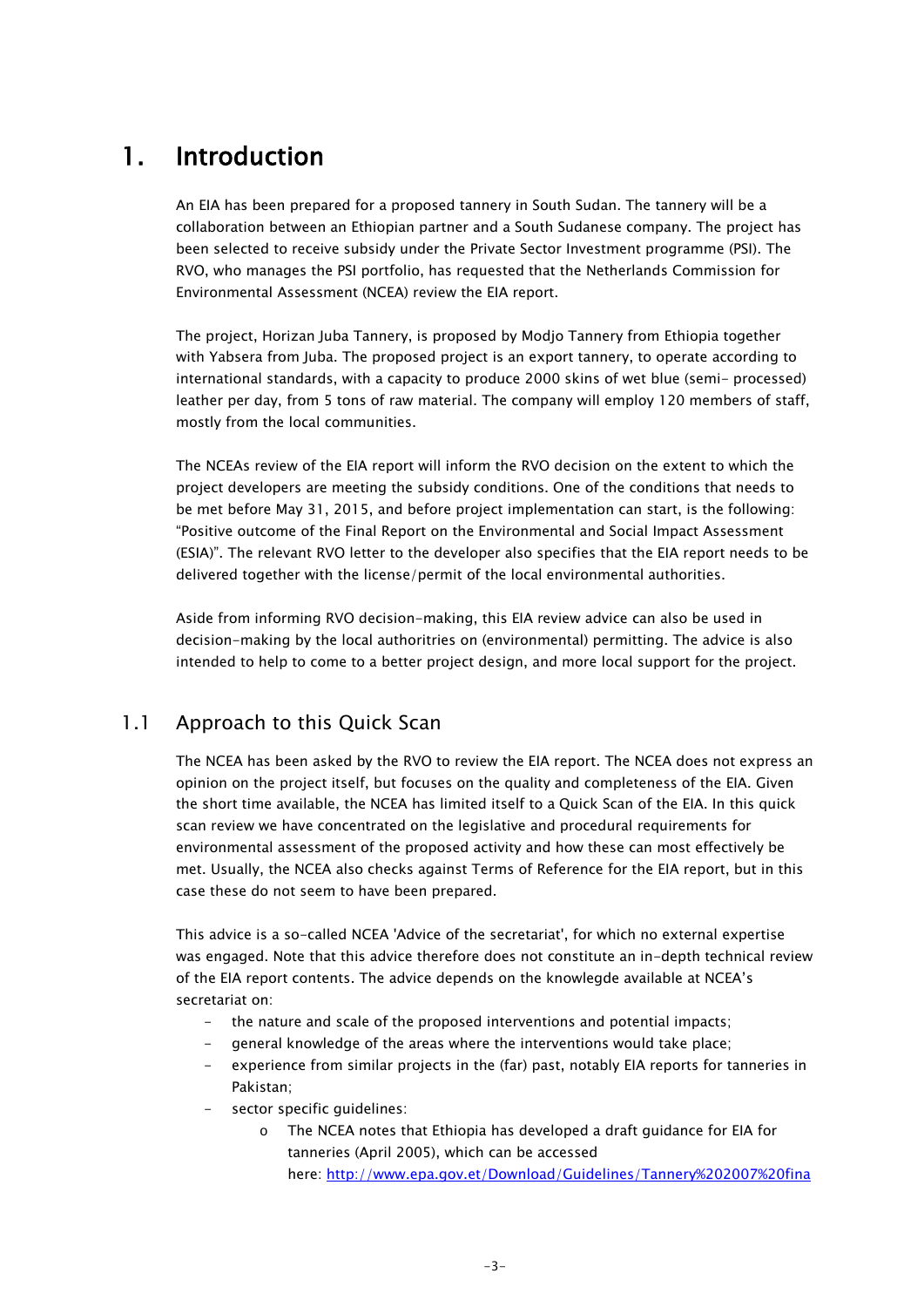## 1. Introduction

An EIA has been prepared for a proposed tannery in South Sudan. The tannery will be a collaboration between an Ethiopian partner and a South Sudanese company. The project has been selected to receive subsidy under the Private Sector Investment programme (PSI). The RVO, who manages the PSI portfolio, has requested that the Netherlands Commission for Environmental Assessment (NCEA) review the EIA report.

The project, Horizan Juba Tannery, is proposed by Modjo Tannery from Ethiopia together with Yabsera from Juba. The proposed project is an export tannery, to operate according to international standards, with a capacity to produce 2000 skins of wet blue (semi- processed) leather per day, from 5 tons of raw material. The company will employ 120 members of staff, mostly from the local communities.

The NCEAs review of the EIA report will inform the RVO decision on the extent to which the project developers are meeting the subsidy conditions. One of the conditions that needs to be met before May 31, 2015, and before project implementation can start, is the following: "Positive outcome of the Final Report on the Environmental and Social Impact Assessment (ESIA)". The relevant RVO letter to the developer also specifies that the EIA report needs to be delivered together with the license/permit of the local environmental authorities.

Aside from informing RVO decision-making, this EIA review advice can also be used in decision-making by the local authoritries on (environmental) permitting. The advice is also intended to help to come to a better project design, and more local support for the project.

#### 1.1 Approach to this Quick Scan

The NCEA has been asked by the RVO to review the EIA report. The NCEA does not express an opinion on the project itself, but focuses on the quality and completeness of the EIA. Given the short time available, the NCEA has limited itself to a Quick Scan of the EIA. In this quick scan review we have concentrated on the legislative and procedural requirements for environmental assessment of the proposed activity and how these can most effectively be met. Usually, the NCEA also checks against Terms of Reference for the EIA report, but in this case these do not seem to have been prepared.

This advice is a so-called NCEA 'Advice of the secretariat', for which no external expertise was engaged. Note that this advice therefore does not constitute an in-depth technical review of the EIA report contents. The advice depends on the knowlegde available at NCEA's secretariat on:

- the nature and scale of the proposed interventions and potential impacts;
- general knowledge of the areas where the interventions would take place;
- experience from similar projects in the (far) past, notably EIA reports for tanneries in Pakistan;
- sector specific guidelines:
	- o The NCEA notes that Ethiopia has developed a draft guidance for EIA for tanneries (April 2005), which can be accessed here: [http://www.epa.gov.et/Download/Guidelines/Tannery%202007%20fina](http://www.epa.gov.et/Download/Guidelines/Tannery%202007%20final.pdf)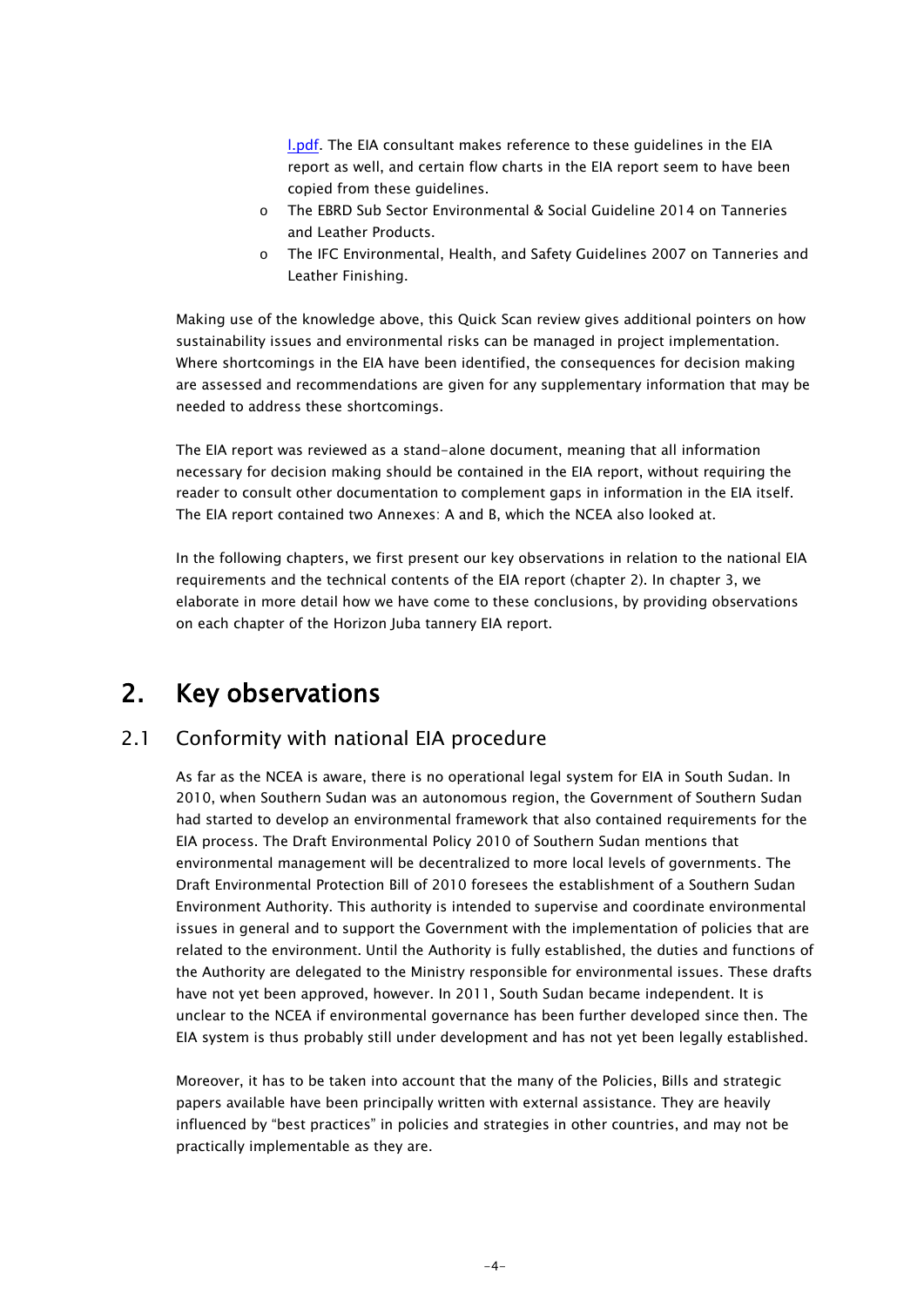**[l.pdf.](http://www.epa.gov.et/Download/Guidelines/Tannery%202007%20final.pdf)** The EIA consultant makes reference to these guidelines in the EIA report as well, and certain flow charts in the EIA report seem to have been copied from these guidelines.

- o The EBRD Sub Sector Environmental & Social Guideline 2014 on Tanneries and Leather Products.
- o The IFC Environmental, Health, and Safety Guidelines 2007 on Tanneries and Leather Finishing.

Making use of the knowledge above, this Quick Scan review gives additional pointers on how sustainability issues and environmental risks can be managed in project implementation. Where shortcomings in the EIA have been identified, the consequences for decision making are assessed and recommendations are given for any supplementary information that may be needed to address these shortcomings.

The EIA report was reviewed as a stand-alone document, meaning that all information necessary for decision making should be contained in the EIA report, without requiring the reader to consult other documentation to complement gaps in information in the EIA itself. The EIA report contained two Annexes: A and B, which the NCEA also looked at.

In the following chapters, we first present our key observations in relation to the national EIA requirements and the technical contents of the EIA report (chapter 2). In chapter 3, we elaborate in more detail how we have come to these conclusions, by providing observations on each chapter of the Horizon Juba tannery EIA report.

### 2. Key observations

#### 2.1 Conformity with national EIA procedure

As far as the NCEA is aware, there is no operational legal system for EIA in South Sudan. In 2010, when Southern Sudan was an autonomous region, the Government of Southern Sudan had started to develop an environmental framework that also contained requirements for the EIA process. The Draft Environmental Policy 2010 of Southern Sudan mentions that environmental management will be decentralized to more local levels of governments. The Draft Environmental Protection Bill of 2010 foresees the establishment of a Southern Sudan Environment Authority. This authority is intended to supervise and coordinate environmental issues in general and to support the Government with the implementation of policies that are related to the environment. Until the Authority is fully established, the duties and functions of the Authority are delegated to the Ministry responsible for environmental issues. These drafts have not yet been approved, however. In 2011, South Sudan became independent. It is unclear to the NCEA if environmental governance has been further developed since then. The EIA system is thus probably still under development and has not yet been legally established.

Moreover, it has to be taken into account that the many of the Policies, Bills and strategic papers available have been principally written with external assistance. They are heavily influenced by "best practices" in policies and strategies in other countries, and may not be practically implementable as they are.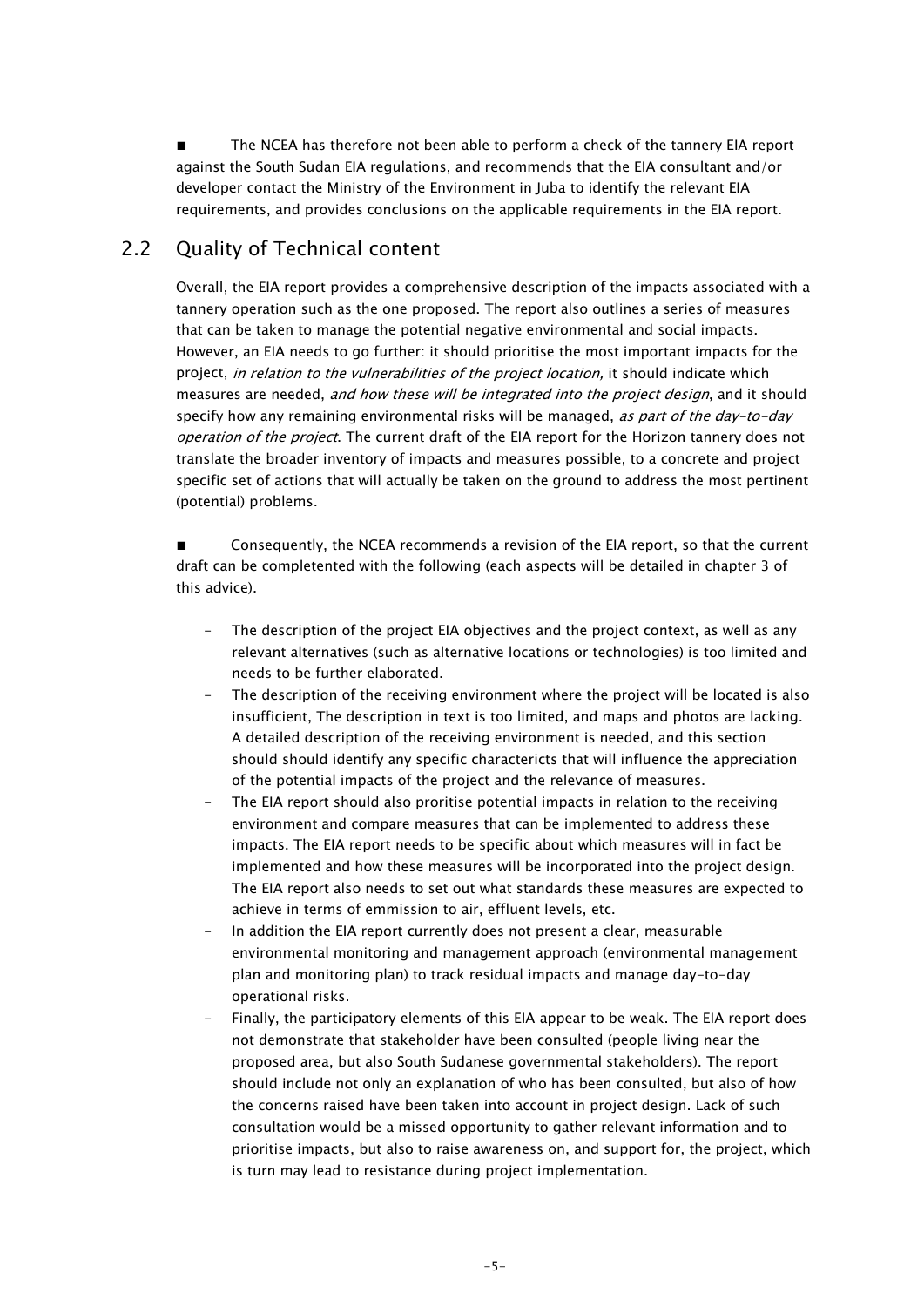■ The NCEA has therefore not been able to perform a check of the tannery EIA report against the South Sudan EIA regulations, and recommends that the EIA consultant and/or developer contact the Ministry of the Environment in Juba to identify the relevant EIA requirements, and provides conclusions on the applicable requirements in the EIA report.

### 2.2 Quality of Technical content

Overall, the EIA report provides a comprehensive description of the impacts associated with a tannery operation such as the one proposed. The report also outlines a series of measures that can be taken to manage the potential negative environmental and social impacts. However, an EIA needs to go further: it should prioritise the most important impacts for the project, in relation to the vulnerabilities of the project location, it should indicate which measures are needed, and how these will be integrated into the project design, and it should specify how any remaining environmental risks will be managed, as part of the day-to-day operation of the project. The current draft of the EIA report for the Horizon tannery does not translate the broader inventory of impacts and measures possible, to a concrete and project specific set of actions that will actually be taken on the ground to address the most pertinent (potential) problems.

Consequently, the NCEA recommends a revision of the EIA report, so that the current draft can be completented with the following (each aspects will be detailed in chapter 3 of this advice).

- The description of the project EIA objectives and the project context, as well as any relevant alternatives (such as alternative locations or technologies) is too limited and needs to be further elaborated.
- The description of the receiving environment where the project will be located is also insufficient, The description in text is too limited, and maps and photos are lacking. A detailed description of the receiving environment is needed, and this section should should identify any specific charactericts that will influence the appreciation of the potential impacts of the project and the relevance of measures.
- The EIA report should also proritise potential impacts in relation to the receiving environment and compare measures that can be implemented to address these impacts. The EIA report needs to be specific about which measures will in fact be implemented and how these measures will be incorporated into the project design. The EIA report also needs to set out what standards these measures are expected to achieve in terms of emmission to air, effluent levels, etc.
- In addition the EIA report currently does not present a clear, measurable environmental monitoring and management approach (environmental management plan and monitoring plan) to track residual impacts and manage day-to-day operational risks.
- Finally, the participatory elements of this EIA appear to be weak. The EIA report does not demonstrate that stakeholder have been consulted (people living near the proposed area, but also South Sudanese governmental stakeholders). The report should include not only an explanation of who has been consulted, but also of how the concerns raised have been taken into account in project design. Lack of such consultation would be a missed opportunity to gather relevant information and to prioritise impacts, but also to raise awareness on, and support for, the project, which is turn may lead to resistance during project implementation.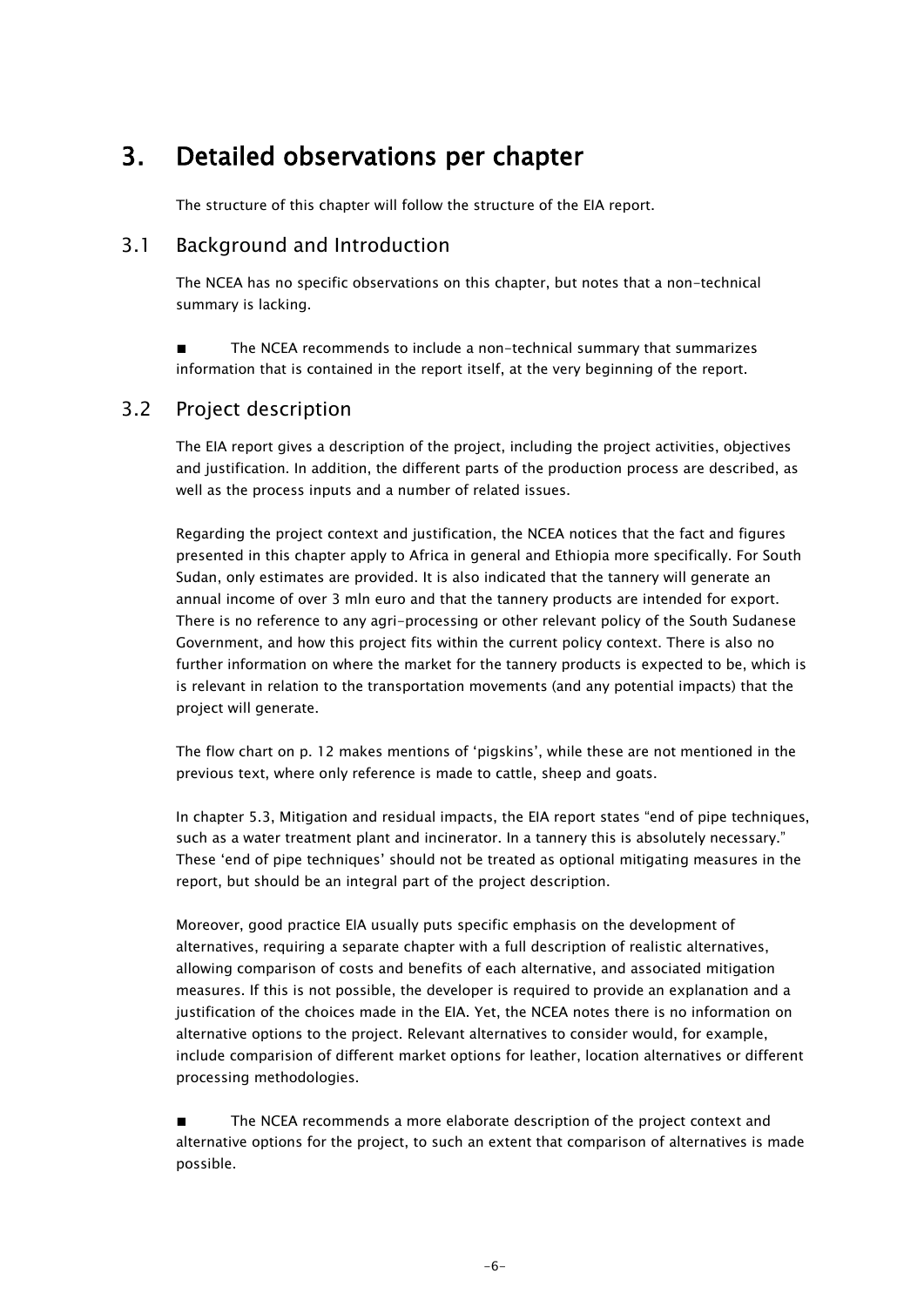# 3. Detailed observations per chapter

The structure of this chapter will follow the structure of the EIA report.

#### 3.1 Background and Introduction

The NCEA has no specific observations on this chapter, but notes that a non-technical summary is lacking.

■ The NCEA recommends to include a non-technical summary that summarizes information that is contained in the report itself, at the very beginning of the report.

#### 3.2 Project description

The EIA report gives a description of the project, including the project activities, objectives and justification. In addition, the different parts of the production process are described, as well as the process inputs and a number of related issues.

Regarding the project context and justification, the NCEA notices that the fact and figures presented in this chapter apply to Africa in general and Ethiopia more specifically. For South Sudan, only estimates are provided. It is also indicated that the tannery will generate an annual income of over 3 mln euro and that the tannery products are intended for export. There is no reference to any agri-processing or other relevant policy of the South Sudanese Government, and how this project fits within the current policy context. There is also no further information on where the market for the tannery products is expected to be, which is is relevant in relation to the transportation movements (and any potential impacts) that the project will generate.

The flow chart on p. 12 makes mentions of 'pigskins', while these are not mentioned in the previous text, where only reference is made to cattle, sheep and goats.

In chapter 5.3, Mitigation and residual impacts, the EIA report states "end of pipe techniques, such as a water treatment plant and incinerator. In a tannery this is absolutely necessary." These 'end of pipe techniques' should not be treated as optional mitigating measures in the report, but should be an integral part of the project description.

Moreover, good practice EIA usually puts specific emphasis on the development of alternatives, requiring a separate chapter with a full description of realistic alternatives, allowing comparison of costs and benefits of each alternative, and associated mitigation measures. If this is not possible, the developer is required to provide an explanation and a justification of the choices made in the EIA. Yet, the NCEA notes there is no information on alternative options to the project. Relevant alternatives to consider would, for example, include comparision of different market options for leather, location alternatives or different processing methodologies.

■ The NCEA recommends a more elaborate description of the project context and alternative options for the project, to such an extent that comparison of alternatives is made possible.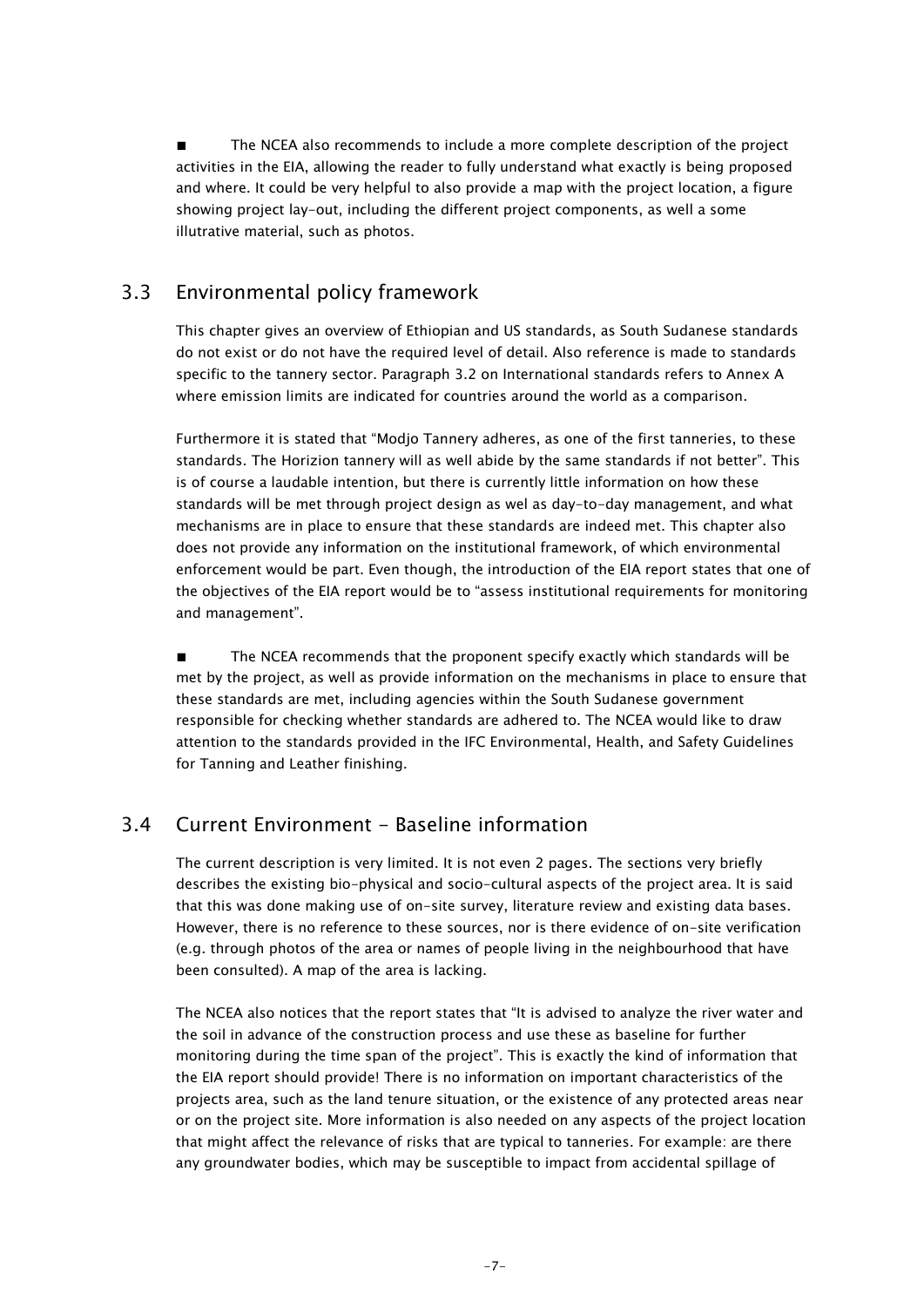■ The NCEA also recommends to include a more complete description of the project activities in the EIA, allowing the reader to fully understand what exactly is being proposed and where. It could be very helpful to also provide a map with the project location, a figure showing project lay-out, including the different project components, as well a some illutrative material, such as photos.

### 3.3 Environmental policy framework

This chapter gives an overview of Ethiopian and US standards, as South Sudanese standards do not exist or do not have the required level of detail. Also reference is made to standards specific to the tannery sector. Paragraph 3.2 on International standards refers to Annex A where emission limits are indicated for countries around the world as a comparison.

Furthermore it is stated that "Modjo Tannery adheres, as one of the first tanneries, to these standards. The Horizion tannery will as well abide by the same standards if not better". This is of course a laudable intention, but there is currently little information on how these standards will be met through project design as wel as day-to-day management, and what mechanisms are in place to ensure that these standards are indeed met. This chapter also does not provide any information on the institutional framework, of which environmental enforcement would be part. Even though, the introduction of the EIA report states that one of the objectives of the EIA report would be to "assess institutional requirements for monitoring and management".

■ The NCEA recommends that the proponent specify exactly which standards will be met by the project, as well as provide information on the mechanisms in place to ensure that these standards are met, including agencies within the South Sudanese government responsible for checking whether standards are adhered to. The NCEA would like to draw attention to the standards provided in the IFC Environmental, Health, and Safety Guidelines for Tanning and Leather finishing.

#### 3.4 Current Environment - Baseline information

The current description is very limited. It is not even 2 pages. The sections very briefly describes the existing bio-physical and socio-cultural aspects of the project area. It is said that this was done making use of on-site survey, literature review and existing data bases. However, there is no reference to these sources, nor is there evidence of on-site verification (e.g. through photos of the area or names of people living in the neighbourhood that have been consulted). A map of the area is lacking.

The NCEA also notices that the report states that "It is advised to analyze the river water and the soil in advance of the construction process and use these as baseline for further monitoring during the time span of the project". This is exactly the kind of information that the EIA report should provide! There is no information on important characteristics of the projects area, such as the land tenure situation, or the existence of any protected areas near or on the project site. More information is also needed on any aspects of the project location that might affect the relevance of risks that are typical to tanneries. For example: are there any groundwater bodies, which may be susceptible to impact from accidental spillage of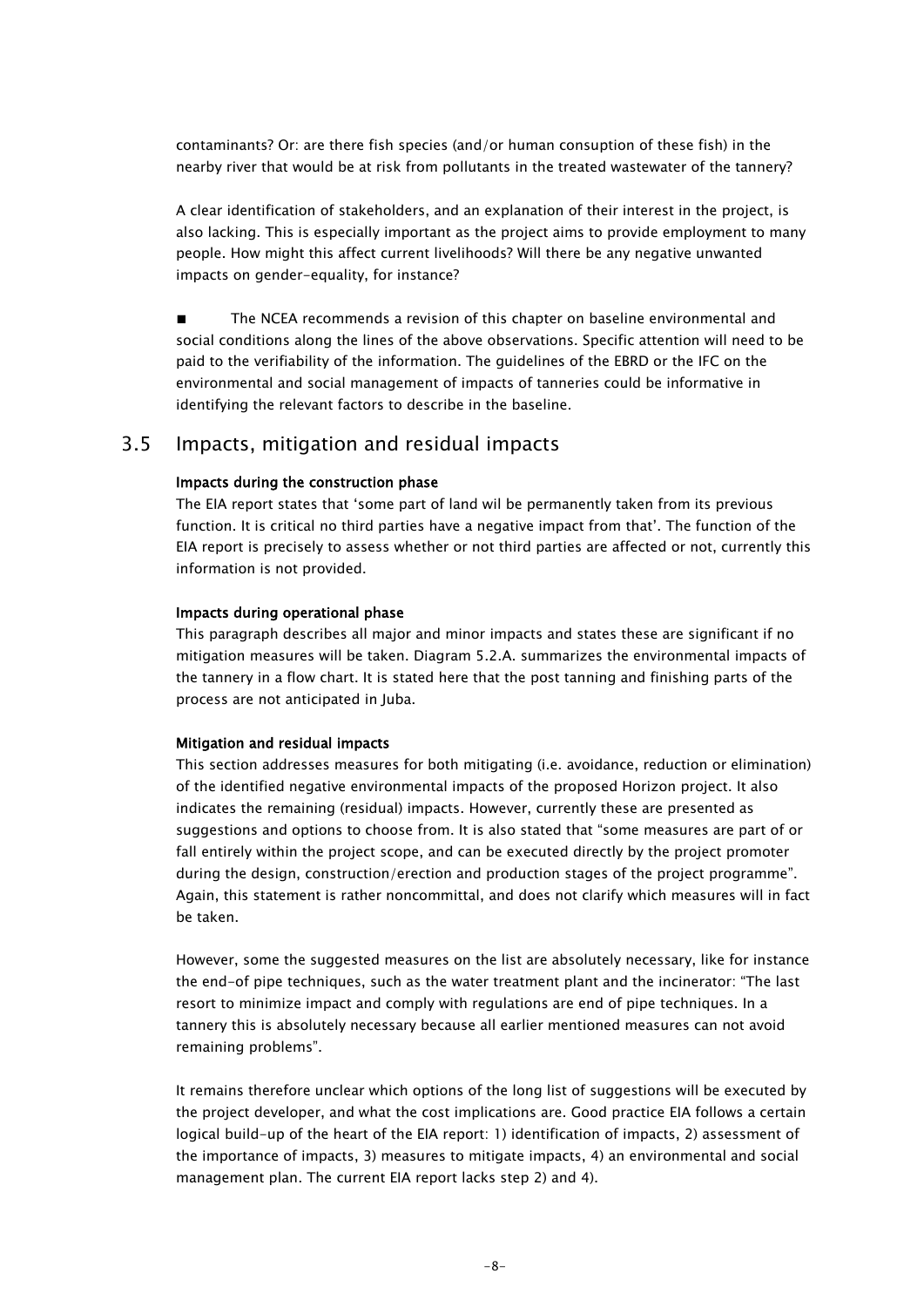contaminants? Or: are there fish species (and/or human consuption of these fish) in the nearby river that would be at risk from pollutants in the treated wastewater of the tannery?

A clear identification of stakeholders, and an explanation of their interest in the project, is also lacking. This is especially important as the project aims to provide employment to many people. How might this affect current livelihoods? Will there be any negative unwanted impacts on gender-equality, for instance?

■ The NCEA recommends a revision of this chapter on baseline environmental and social conditions along the lines of the above observations. Specific attention will need to be paid to the verifiability of the information. The guidelines of the EBRD or the IFC on the environmental and social management of impacts of tanneries could be informative in identifying the relevant factors to describe in the baseline.

#### 3.5 Impacts, mitigation and residual impacts

#### Impacts during the construction phase

The EIA report states that 'some part of land wil be permanently taken from its previous function. It is critical no third parties have a negative impact from that'. The function of the EIA report is precisely to assess whether or not third parties are affected or not, currently this information is not provided.

#### Impacts during operational phase

This paragraph describes all major and minor impacts and states these are significant if no mitigation measures will be taken. Diagram 5.2.A. summarizes the environmental impacts of the tannery in a flow chart. It is stated here that the post tanning and finishing parts of the process are not anticipated in Juba.

#### Mitigation and residual impacts

This section addresses measures for both mitigating (i.e. avoidance, reduction or elimination) of the identified negative environmental impacts of the proposed Horizon project. It also indicates the remaining (residual) impacts. However, currently these are presented as suggestions and options to choose from. It is also stated that "some measures are part of or fall entirely within the project scope, and can be executed directly by the project promoter during the design, construction/erection and production stages of the project programme". Again, this statement is rather noncommittal, and does not clarify which measures will in fact be taken.

However, some the suggested measures on the list are absolutely necessary, like for instance the end-of pipe techniques, such as the water treatment plant and the incinerator: "The last resort to minimize impact and comply with regulations are end of pipe techniques. In a tannery this is absolutely necessary because all earlier mentioned measures can not avoid remaining problems".

It remains therefore unclear which options of the long list of suggestions will be executed by the project developer, and what the cost implications are. Good practice EIA follows a certain logical build-up of the heart of the EIA report: 1) identification of impacts, 2) assessment of the importance of impacts, 3) measures to mitigate impacts, 4) an environmental and social management plan. The current EIA report lacks step 2) and 4).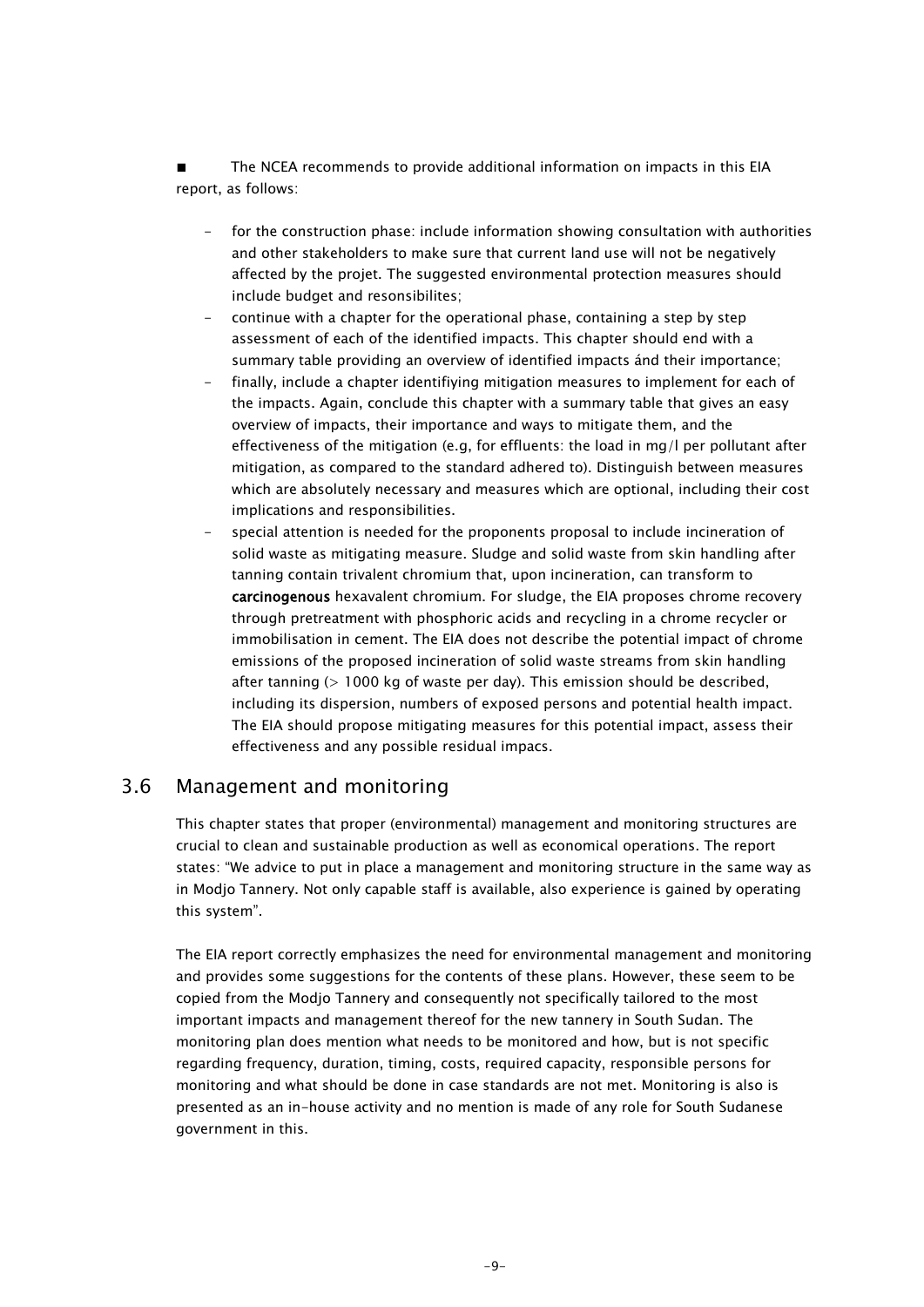The NCEA recommends to provide additional information on impacts in this EIA report, as follows:

- for the construction phase: include information showing consultation with authorities and other stakeholders to make sure that current land use will not be negatively affected by the projet. The suggested environmental protection measures should include budget and resonsibilites;
- continue with a chapter for the operational phase, containing a step by step assessment of each of the identified impacts. This chapter should end with a summary table providing an overview of identified impacts ánd their importance;
- finally, include a chapter identifiying mitigation measures to implement for each of the impacts. Again, conclude this chapter with a summary table that gives an easy overview of impacts, their importance and ways to mitigate them, and the effectiveness of the mitigation (e.g, for effluents: the load in mg/l per pollutant after mitigation, as compared to the standard adhered to). Distinguish between measures which are absolutely necessary and measures which are optional, including their cost implications and responsibilities.
- special attention is needed for the proponents proposal to include incineration of solid waste as mitigating measure. Sludge and solid waste from skin handling after tanning contain trivalent chromium that, upon incineration, can transform to carcinogenous hexavalent chromium. For sludge, the EIA proposes chrome recovery through pretreatment with phosphoric acids and recycling in a chrome recycler or immobilisation in cement. The EIA does not describe the potential impact of chrome emissions of the proposed incineration of solid waste streams from skin handling after tanning (> 1000 kg of waste per day). This emission should be described, including its dispersion, numbers of exposed persons and potential health impact. The EIA should propose mitigating measures for this potential impact, assess their effectiveness and any possible residual impacs.

#### 3.6 Management and monitoring

This chapter states that proper (environmental) management and monitoring structures are crucial to clean and sustainable production as well as economical operations. The report states: "We advice to put in place a management and monitoring structure in the same way as in Modjo Tannery. Not only capable staff is available, also experience is gained by operating this system".

The EIA report correctly emphasizes the need for environmental management and monitoring and provides some suggestions for the contents of these plans. However, these seem to be copied from the Modjo Tannery and consequently not specifically tailored to the most important impacts and management thereof for the new tannery in South Sudan. The monitoring plan does mention what needs to be monitored and how, but is not specific regarding frequency, duration, timing, costs, required capacity, responsible persons for monitoring and what should be done in case standards are not met. Monitoring is also is presented as an in-house activity and no mention is made of any role for South Sudanese government in this.